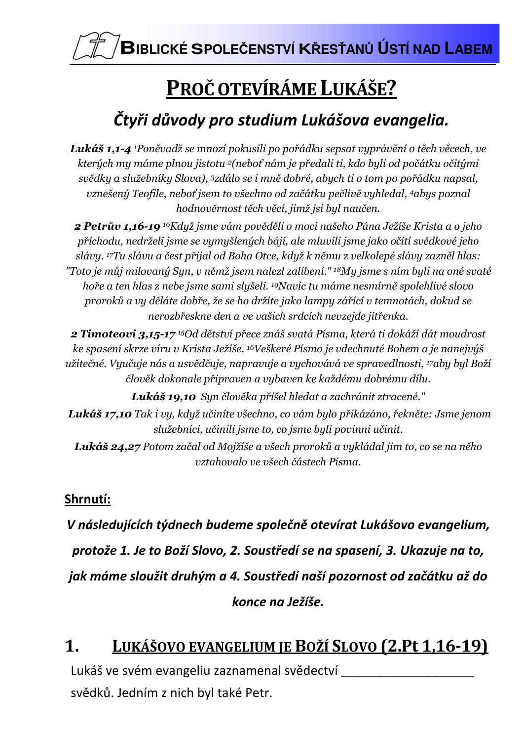BIBLICKÉ SPOLEČENSTVÍ KŘESŤANŮ ÚSTÍ NAD LABEM

# PROČ OTEVÍRÁME LUKÁŠE?

## Čtyři důvody pro studium Lukášova evangelia.

Lukáš 1,1-4 <sup>1</sup>Poněvadž se mnozí pokusili po pořádku sepsat vyprávění o těch věcech, ve kterých my máme plnou jistotu <sup>2</sup>(neboť nám je předali ti, kdo byli od počátku očitými svědky a služebníky Slova), <sup>3</sup>zdálo se i mně dobré, abych ti o tom po pořádku napsal, vznešený Teofile, neboť jsem to všechno od začátku pečlivě vyhledal, 4abys poznal hodnověrnost těch věcí, jimž jsi byl naučen.

2 Petrův 1,16-19 <sup>16</sup>Když jsme vám pověděli o moci našeho Pána Ježíše Krista a o jeho příchodu, nedrželi jsme se vymyšlených bájí, ale mluvili jsme jako očití svědkové jeho slávy. 17Tu slávu a čest přijal od Boha Otce, když k němu z velkolepé slávy zazněl hlas: "Toto je můj milovaný Syn, v němž jsem nalezl zalíbení." <sup>18</sup>My jsme s ním byli na oné svaté hoře a ten hlas z nebe jsme sami slyšeli. <sup>19</sup>Navíc tu máme nesmírně spolehlivé slovo proroků a vy děláte dobře, že se ho držíte jako lampy zářící v temnotách, dokud se nerozbřeskne den a ve vašich srdcích nevzejde jitřenka.

2 Timoteovi 3,15-17<sup>15</sup>Od dětství přece znáš svatá Písma, která ti dokáží dát moudrost ke spasení skrze víru v Krista Ježíše. <sup>16</sup>Veškeré Písmo je vdechnuté Bohem a je nanejvýš užitečné. Vyučuje nás a usvědčuje, napravuje a vychovává ve spravedlnosti, <sup>17</sup>aby byl Boží člověk dokonale připraven a vybaven ke každému dobrému dílu.

Lukáš 19,10 Syn člověka přišel hledat a zachránit ztracené."

Lukáš 17,10 Tak i vy, když učiníte všechno, co vám bylo přikázáno, řekněte: Jsme jenom služebníci, učinili jsme to, co jsme byli povinni učinit.

Lukáš 24,27 Potom začal od Mojžíše a všech proroků a vykládal jim to, co se na něho vztahovalo ve všech částech Písma.

#### Shrnutí:

V následujících týdnech budeme společně otevírat Lukášovo evangelium, protože 1. Je to Boží Slovo, 2. Soustředí se na spasení, 3. Ukazuje na to, jak máme sloužit druhým a 4. Soustředí naší pozornost od začátku až do konce na Ježíše.

#### LUKÁŠOVO EVANGELIUM JE BOŽÍ SLOVO (2.Pt 1,16-19) 1.

Lukáš ve svém evangeliu zaznamenal svědectví svědků. Jedním z nich byl také Petr.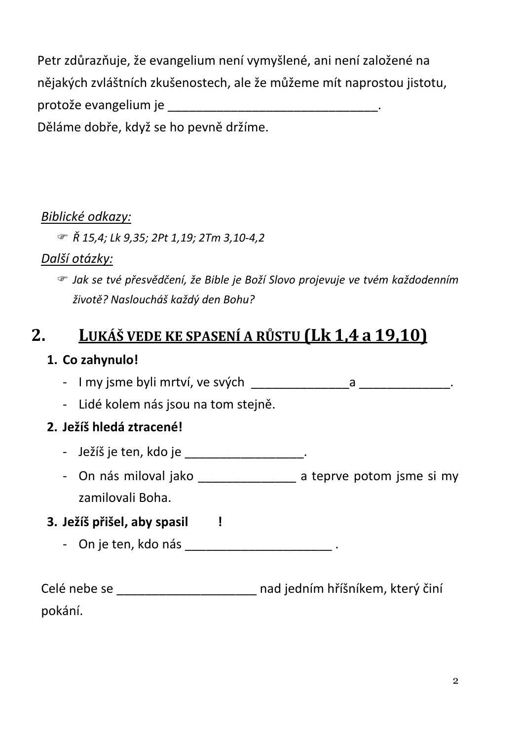Petr zdůrazňuje, že evangelium není vymyšlené, ani není založené na nějakých zvláštních zkušenostech, ale že můžeme mít naprostou jistotu, Děláme dobře, když se ho pevně držíme.

#### Biblické odkazy:

 $\mathcal{F}$   $\check{R}$  15,4; Lk 9,35; 2Pt 1,19; 2Tm 3,10-4,2

#### Další otázky:

☞ Jak se tvé přesvědčení, že Bible je Boží Slovo projevuje ve tvém každodenním životě? Nasloucháš každý den Bohu?

#### LUKÁŠ VEDE KE SPASENÍ A RŮSTU (Lk 1,4 a 19,10)  $2_{-}$

#### 1. Co zahynulo!

- Lidé kolem nás jsou na tom stejně.

#### 2. Ježíš hledá ztracené!

- Ježíš je ten, kdo je \_\_\_\_\_\_\_\_\_\_\_\_\_\_\_\_\_\_\_.
- On nás miloval jako a teprve potom jsme si my zamilovali Boha.

### 3. Ježíš přišel, aby spasil |

- On je ten, kdo nás

Celé nebe se \_\_\_\_\_\_\_\_\_\_\_\_\_\_\_\_\_\_\_\_\_ nad jedním hříšníkem, který činí pokání.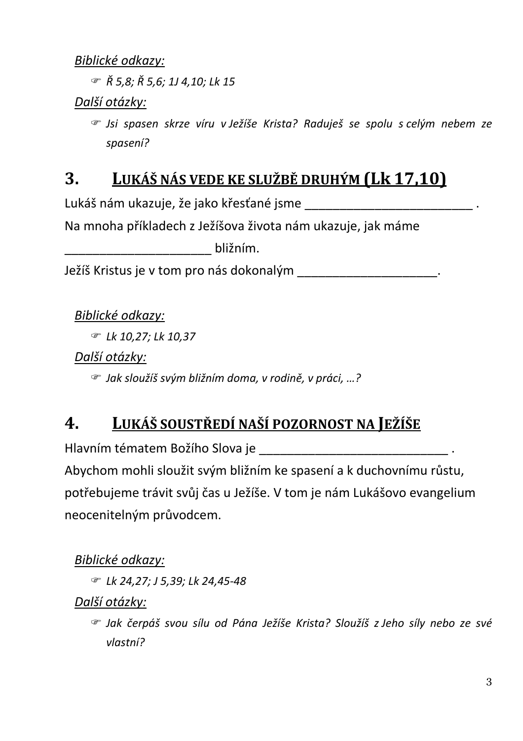#### Biblické odkazy:

 $\mathcal{F}$   $\check{R}$  5,8;  $\check{R}$  5,6; 1J 4,10; Lk 15

Další otázky:

S Jsi spasen skrze víru v Ježíše Krista? Raduješ se spolu s celým nebem ze spasení?

#### LUKÁŠ NÁS VEDE KE SLUŽBĚ DRUHÝM (Lk 17,10)  $\mathbf{3}$ .

Lukáš nám ukazuje, že jako křesťané jsme \_\_\_\_\_\_\_\_\_\_\_\_\_\_\_\_\_\_\_\_\_\_\_\_\_\_\_\_\_\_\_\_\_\_.

Na mnoha příkladech z Ježíšova života nám ukazuje, jak máme

Ježíš Kristus je v tom pro nás dokonalým \_\_\_\_\_\_\_\_\_\_\_\_\_\_\_\_\_\_\_\_\_\_\_\_.

Biblické odkazy:

**☞ Lk 10,27; Lk 10,37** 

Další otázky:

☞ Jak sloužíš svým bližním doma, v rodině, v práci, ...?

#### LUKÁŠ SOUSTŘEDÍ NAŠÍ POZORNOST NA JEŽÍŠE  $\boldsymbol{4}$

Hlavním tématem Božího Slova je hlavním tématem Božího Slova je

Abychom mohli sloužit svým bližním ke spasení a k duchovnímu růstu, potřebujeme trávit svůj čas u Ježíše. V tom je nám Lukášovo evangelium neocenitelným průvodcem.

Biblické odkazy:

*■ Lk 24,27; J 5,39; Lk 24,45-48* 

Další otázky:

The Jak čerpáš svou sílu od Pána Ježíše Krista? Sloužíš z Jeho síly nebo ze své  $vlastní?$